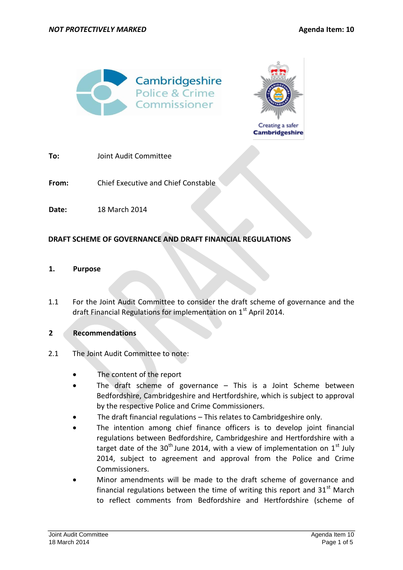



Creating a safer **Cambridgeshire** 

**To:** Joint Audit Committee

**From:** Chief Executive and Chief Constable

**Date:** 18 March 2014

# **DRAFT SCHEME OF GOVERNANCE AND DRAFT FINANCIAL REGULATIONS**

## **1. Purpose**

1.1 For the Joint Audit Committee to consider the draft scheme of governance and the draft Financial Regulations for implementation on  $1<sup>st</sup>$  April 2014.

# **2 Recommendations**

- 2.1 The Joint Audit Committee to note:
	- The content of the report
	- The draft scheme of governance This is a Joint Scheme between Bedfordshire, Cambridgeshire and Hertfordshire, which is subject to approval by the respective Police and Crime Commissioners.
	- The draft financial regulations This relates to Cambridgeshire only.
	- The intention among chief finance officers is to develop joint financial regulations between Bedfordshire, Cambridgeshire and Hertfordshire with a target date of the 30<sup>th</sup> June 2014, with a view of implementation on 1<sup>st</sup> July 2014, subject to agreement and approval from the Police and Crime Commissioners.
	- Minor amendments will be made to the draft scheme of governance and financial regulations between the time of writing this report and  $31<sup>st</sup>$  March to reflect comments from Bedfordshire and Hertfordshire (scheme of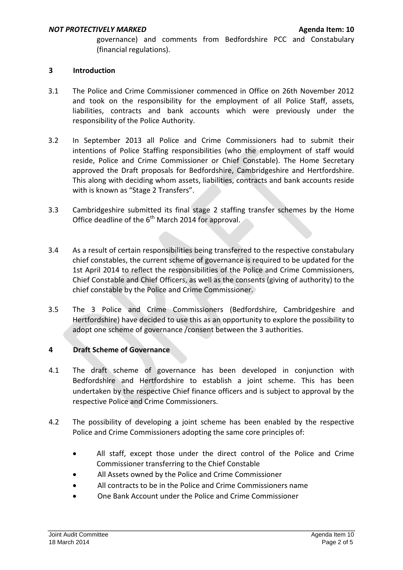governance) and comments from Bedfordshire PCC and Constabulary (financial regulations).

## **3 Introduction**

- 3.1 The Police and Crime Commissioner commenced in Office on 26th November 2012 and took on the responsibility for the employment of all Police Staff, assets, liabilities, contracts and bank accounts which were previously under the responsibility of the Police Authority.
- 3.2 In September 2013 all Police and Crime Commissioners had to submit their intentions of Police Staffing responsibilities (who the employment of staff would reside, Police and Crime Commissioner or Chief Constable). The Home Secretary approved the Draft proposals for Bedfordshire, Cambridgeshire and Hertfordshire. This along with deciding whom assets, liabilities, contracts and bank accounts reside with is known as "Stage 2 Transfers".
- 3.3 Cambridgeshire submitted its final stage 2 staffing transfer schemes by the Home Office deadline of the  $6<sup>th</sup>$  March 2014 for approval.
- 3.4 As a result of certain responsibilities being transferred to the respective constabulary chief constables, the current scheme of governance is required to be updated for the 1st April 2014 to reflect the responsibilities of the Police and Crime Commissioners, Chief Constable and Chief Officers, as well as the consents (giving of authority) to the chief constable by the Police and Crime Commissioner.
- 3.5 The 3 Police and Crime Commissioners (Bedfordshire, Cambridgeshire and Hertfordshire) have decided to use this as an opportunity to explore the possibility to adopt one scheme of governance /consent between the 3 authorities.

# **4 Draft Scheme of Governance**

- 4.1 The draft scheme of governance has been developed in conjunction with Bedfordshire and Hertfordshire to establish a joint scheme. This has been undertaken by the respective Chief finance officers and is subject to approval by the respective Police and Crime Commissioners.
- 4.2 The possibility of developing a joint scheme has been enabled by the respective Police and Crime Commissioners adopting the same core principles of:
	- All staff, except those under the direct control of the Police and Crime Commissioner transferring to the Chief Constable
	- All Assets owned by the Police and Crime Commissioner
	- All contracts to be in the Police and Crime Commissioners name
	- One Bank Account under the Police and Crime Commissioner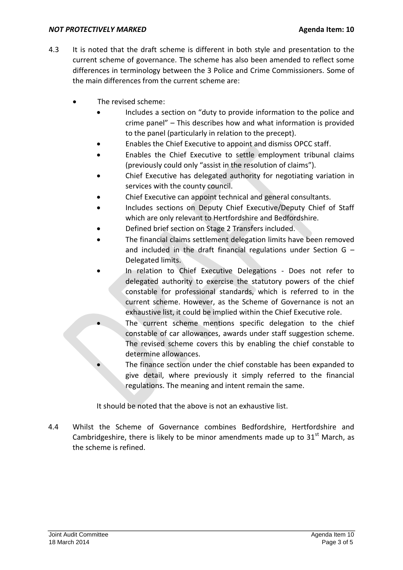#### *NOT PROTECTIVELY MARKED* **Agents Agenda Item: 10**

- 4.3 It is noted that the draft scheme is different in both style and presentation to the current scheme of governance. The scheme has also been amended to reflect some differences in terminology between the 3 Police and Crime Commissioners. Some of the main differences from the current scheme are:
	- The revised scheme:
		- Includes a section on "duty to provide information to the police and crime panel" – This describes how and what information is provided to the panel (particularly in relation to the precept).
		- Enables the Chief Executive to appoint and dismiss OPCC staff.
		- Enables the Chief Executive to settle employment tribunal claims (previously could only "assist in the resolution of claims").
		- Chief Executive has delegated authority for negotiating variation in services with the county council.
		- Chief Executive can appoint technical and general consultants.
		- Includes sections on Deputy Chief Executive/Deputy Chief of Staff which are only relevant to Hertfordshire and Bedfordshire.
		- Defined brief section on Stage 2 Transfers included.
		- The financial claims settlement delegation limits have been removed and included in the draft financial regulations under Section G – Delegated limits.
		- In relation to Chief Executive Delegations Does not refer to delegated authority to exercise the statutory powers of the chief constable for professional standards, which is referred to in the current scheme. However, as the Scheme of Governance is not an exhaustive list, it could be implied within the Chief Executive role.
			- The current scheme mentions specific delegation to the chief constable of car allowances, awards under staff suggestion scheme. The revised scheme covers this by enabling the chief constable to determine allowances.
			- The finance section under the chief constable has been expanded to give detail, where previously it simply referred to the financial regulations. The meaning and intent remain the same.

It should be noted that the above is not an exhaustive list.

4.4 Whilst the Scheme of Governance combines Bedfordshire, Hertfordshire and Cambridgeshire, there is likely to be minor amendments made up to  $31<sup>st</sup>$  March, as the scheme is refined.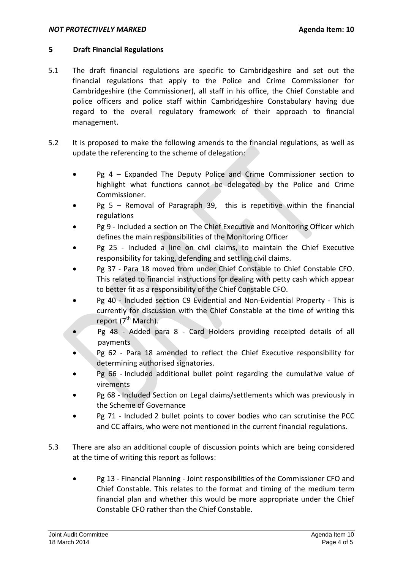#### **NOT PROTECTIVELY MARKED Agents Agents Agenda Item: 10**

### **5 Draft Financial Regulations**

- 5.1 The draft financial regulations are specific to Cambridgeshire and set out the financial regulations that apply to the Police and Crime Commissioner for Cambridgeshire (the Commissioner), all staff in his office, the Chief Constable and police officers and police staff within Cambridgeshire Constabulary having due regard to the overall regulatory framework of their approach to financial management.
- 5.2 It is proposed to make the following amends to the financial regulations, as well as update the referencing to the scheme of delegation:
	- Pg 4 Expanded The Deputy Police and Crime Commissioner section to highlight what functions cannot be delegated by the Police and Crime Commissioner.
	- Pg 5 Removal of Paragraph 39, this is repetitive within the financial regulations
	- Pg 9 Included a section on The Chief Executive and Monitoring Officer which defines the main responsibilities of the Monitoring Officer
	- Pg 25 Included a line on civil claims, to maintain the Chief Executive responsibility for taking, defending and settling civil claims.
	- Pg 37 Para 18 moved from under Chief Constable to Chief Constable CFO. This related to financial instructions for dealing with petty cash which appear to better fit as a responsibility of the Chief Constable CFO.
	- Pg 40 Included section C9 Evidential and Non-Evidential Property This is currently for discussion with the Chief Constable at the time of writing this report  $(7^{th}$  March).
	- Pg 48 Added para 8 Card Holders providing receipted details of all payments
	- Pg 62 Para 18 amended to reflect the Chief Executive responsibility for determining authorised signatories.
	- Pg 66 Included additional bullet point regarding the cumulative value of virements
	- Pg 68 Included Section on Legal claims/settlements which was previously in the Scheme of Governance
	- Pg 71 Included 2 bullet points to cover bodies who can scrutinise the PCC and CC affairs, who were not mentioned in the current financial regulations.
- 5.3 There are also an additional couple of discussion points which are being considered at the time of writing this report as follows:
	- Pg 13 Financial Planning Joint responsibilities of the Commissioner CFO and Chief Constable. This relates to the format and timing of the medium term financial plan and whether this would be more appropriate under the Chief Constable CFO rather than the Chief Constable.